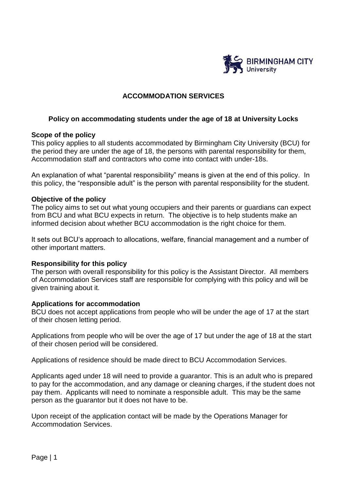

# **ACCOMMODATION SERVICES**

#### **Policy on accommodating students under the age of 18 at University Locks**

#### **Scope of the policy**

This policy applies to all students accommodated by Birmingham City University (BCU) for the period they are under the age of 18, the persons with parental responsibility for them, Accommodation staff and contractors who come into contact with under-18s.

An explanation of what "parental responsibility" means is given at the end of this policy. In this policy, the "responsible adult" is the person with parental responsibility for the student.

#### **Objective of the policy**

The policy aims to set out what young occupiers and their parents or guardians can expect from BCU and what BCU expects in return. The objective is to help students make an informed decision about whether BCU accommodation is the right choice for them.

It sets out BCU's approach to allocations, welfare, financial management and a number of other important matters.

#### **Responsibility for this policy**

The person with overall responsibility for this policy is the Assistant Director. All members of Accommodation Services staff are responsible for complying with this policy and will be given training about it.

#### **Applications for accommodation**

BCU does not accept applications from people who will be under the age of 17 at the start of their chosen letting period.

Applications from people who will be over the age of 17 but under the age of 18 at the start of their chosen period will be considered.

Applications of residence should be made direct to BCU Accommodation Services.

Applicants aged under 18 will need to provide a guarantor. This is an adult who is prepared to pay for the accommodation, and any damage or cleaning charges, if the student does not pay them. Applicants will need to nominate a responsible adult. This may be the same person as the guarantor but it does not have to be.

Upon receipt of the application contact will be made by the Operations Manager for Accommodation Services.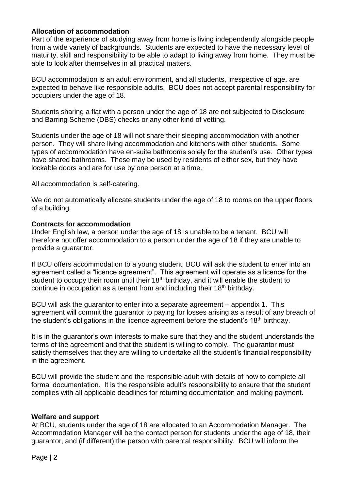## **Allocation of accommodation**

Part of the experience of studying away from home is living independently alongside people from a wide variety of backgrounds. Students are expected to have the necessary level of maturity, skill and responsibility to be able to adapt to living away from home. They must be able to look after themselves in all practical matters.

BCU accommodation is an adult environment, and all students, irrespective of age, are expected to behave like responsible adults. BCU does not accept parental responsibility for occupiers under the age of 18.

Students sharing a flat with a person under the age of 18 are not subjected to Disclosure and Barring Scheme (DBS) checks or any other kind of vetting.

Students under the age of 18 will not share their sleeping accommodation with another person. They will share living accommodation and kitchens with other students. Some types of accommodation have en-suite bathrooms solely for the student's use. Other types have shared bathrooms. These may be used by residents of either sex, but they have lockable doors and are for use by one person at a time.

All accommodation is self-catering.

We do not automatically allocate students under the age of 18 to rooms on the upper floors of a building.

#### **Contracts for accommodation**

Under English law, a person under the age of 18 is unable to be a tenant. BCU will therefore not offer accommodation to a person under the age of 18 if they are unable to provide a guarantor.

If BCU offers accommodation to a young student, BCU will ask the student to enter into an agreement called a "licence agreement". This agreement will operate as a licence for the student to occupy their room until their 18<sup>th</sup> birthday, and it will enable the student to continue in occupation as a tenant from and including their 18<sup>th</sup> birthday.

BCU will ask the guarantor to enter into a separate agreement – appendix 1. This agreement will commit the guarantor to paying for losses arising as a result of any breach of the student's obligations in the licence agreement before the student's 18th birthday.

It is in the guarantor's own interests to make sure that they and the student understands the terms of the agreement and that the student is willing to comply. The guarantor must satisfy themselves that they are willing to undertake all the student's financial responsibility in the agreement.

BCU will provide the student and the responsible adult with details of how to complete all formal documentation. It is the responsible adult's responsibility to ensure that the student complies with all applicable deadlines for returning documentation and making payment.

## **Welfare and support**

At BCU, students under the age of 18 are allocated to an Accommodation Manager. The Accommodation Manager will be the contact person for students under the age of 18, their guarantor, and (if different) the person with parental responsibility. BCU will inform the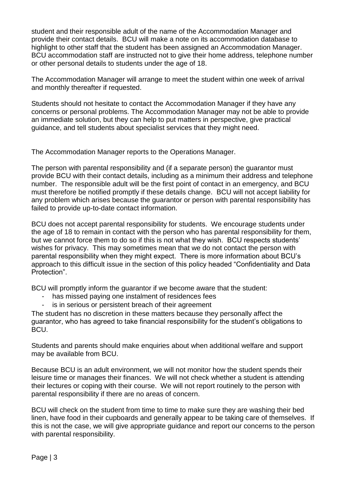student and their responsible adult of the name of the Accommodation Manager and provide their contact details. BCU will make a note on its accommodation database to highlight to other staff that the student has been assigned an Accommodation Manager. BCU accommodation staff are instructed not to give their home address, telephone number or other personal details to students under the age of 18.

The Accommodation Manager will arrange to meet the student within one week of arrival and monthly thereafter if requested.

Students should not hesitate to contact the Accommodation Manager if they have any concerns or personal problems. The Accommodation Manager may not be able to provide an immediate solution, but they can help to put matters in perspective, give practical guidance, and tell students about specialist services that they might need.

The Accommodation Manager reports to the Operations Manager.

The person with parental responsibility and (if a separate person) the guarantor must provide BCU with their contact details, including as a minimum their address and telephone number. The responsible adult will be the first point of contact in an emergency, and BCU must therefore be notified promptly if these details change. BCU will not accept liability for any problem which arises because the guarantor or person with parental responsibility has failed to provide up-to-date contact information.

BCU does not accept parental responsibility for students. We encourage students under the age of 18 to remain in contact with the person who has parental responsibility for them, but we cannot force them to do so if this is not what they wish. BCU respects students' wishes for privacy. This may sometimes mean that we do not contact the person with parental responsibility when they might expect. There is more information about BCU's approach to this difficult issue in the section of this policy headed "Confidentiality and Data Protection".

BCU will promptly inform the guarantor if we become aware that the student:

- has missed paying one instalment of residences fees
- is in serious or persistent breach of their agreement

The student has no discretion in these matters because they personally affect the guarantor, who has agreed to take financial responsibility for the student's obligations to BCU.

Students and parents should make enquiries about when additional welfare and support may be available from BCU.

Because BCU is an adult environment, we will not monitor how the student spends their leisure time or manages their finances. We will not check whether a student is attending their lectures or coping with their course. We will not report routinely to the person with parental responsibility if there are no areas of concern.

BCU will check on the student from time to time to make sure they are washing their bed linen, have food in their cupboards and generally appear to be taking care of themselves. If this is not the case, we will give appropriate guidance and report our concerns to the person with parental responsibility.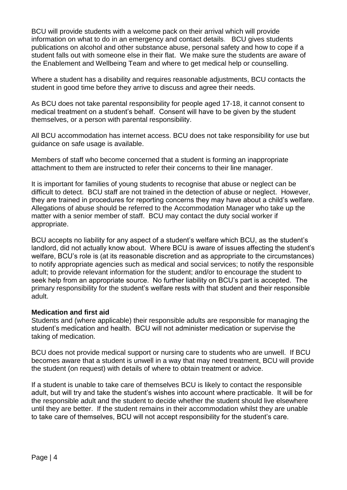BCU will provide students with a welcome pack on their arrival which will provide information on what to do in an emergency and contact details. BCU gives students publications on alcohol and other substance abuse, personal safety and how to cope if a student falls out with someone else in their flat. We make sure the students are aware of the Enablement and Wellbeing Team and where to get medical help or counselling.

Where a student has a disability and requires reasonable adjustments, BCU contacts the student in good time before they arrive to discuss and agree their needs.

As BCU does not take parental responsibility for people aged 17-18, it cannot consent to medical treatment on a student's behalf. Consent will have to be given by the student themselves, or a person with parental responsibility.

All BCU accommodation has internet access. BCU does not take responsibility for use but guidance on safe usage is available.

Members of staff who become concerned that a student is forming an inappropriate attachment to them are instructed to refer their concerns to their line manager.

It is important for families of young students to recognise that abuse or neglect can be difficult to detect. BCU staff are not trained in the detection of abuse or neglect. However, they are trained in procedures for reporting concerns they may have about a child's welfare. Allegations of abuse should be referred to the Accommodation Manager who take up the matter with a senior member of staff. BCU may contact the duty social worker if appropriate.

BCU accepts no liability for any aspect of a student's welfare which BCU, as the student's landlord, did not actually know about. Where BCU is aware of issues affecting the student's welfare, BCU's role is (at its reasonable discretion and as appropriate to the circumstances) to notify appropriate agencies such as medical and social services; to notify the responsible adult; to provide relevant information for the student; and/or to encourage the student to seek help from an appropriate source. No further liability on BCU's part is accepted. The primary responsibility for the student's welfare rests with that student and their responsible adult.

## **Medication and first aid**

Students and (where applicable) their responsible adults are responsible for managing the student's medication and health. BCU will not administer medication or supervise the taking of medication.

BCU does not provide medical support or nursing care to students who are unwell. If BCU becomes aware that a student is unwell in a way that may need treatment, BCU will provide the student (on request) with details of where to obtain treatment or advice.

If a student is unable to take care of themselves BCU is likely to contact the responsible adult, but will try and take the student's wishes into account where practicable. It will be for the responsible adult and the student to decide whether the student should live elsewhere until they are better. If the student remains in their accommodation whilst they are unable to take care of themselves, BCU will not accept responsibility for the student's care.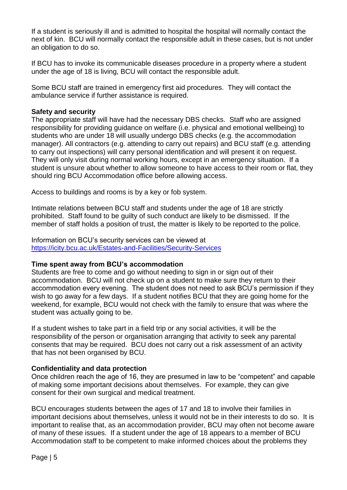If a student is seriously ill and is admitted to hospital the hospital will normally contact the next of kin. BCU will normally contact the responsible adult in these cases, but is not under an obligation to do so.

If BCU has to invoke its communicable diseases procedure in a property where a student under the age of 18 is living, BCU will contact the responsible adult.

Some BCU staff are trained in emergency first aid procedures. They will contact the ambulance service if further assistance is required.

#### **Safety and security**

The appropriate staff will have had the necessary DBS checks. Staff who are assigned responsibility for providing guidance on welfare (i.e. physical and emotional wellbeing) to students who are under 18 will usually undergo DBS checks (e.g. the accommodation manager). All contractors (e.g. attending to carry out repairs) and BCU staff (e.g. attending to carry out inspections) will carry personal identification and will present it on request. They will only visit during normal working hours, except in an emergency situation. If a student is unsure about whether to allow someone to have access to their room or flat, they should ring BCU Accommodation office before allowing access.

Access to buildings and rooms is by a key or fob system.

Intimate relations between BCU staff and students under the age of 18 are strictly prohibited. Staff found to be guilty of such conduct are likely to be dismissed. If the member of staff holds a position of trust, the matter is likely to be reported to the police.

Information on BCU's security services can be viewed at <https://icity.bcu.ac.uk/Estates-and-Facilities/Security-Services>

#### **Time spent away from BCU's accommodation**

Students are free to come and go without needing to sign in or sign out of their accommodation. BCU will not check up on a student to make sure they return to their accommodation every evening. The student does not need to ask BCU's permission if they wish to go away for a few days. If a student notifies BCU that they are going home for the weekend, for example, BCU would not check with the family to ensure that was where the student was actually going to be.

If a student wishes to take part in a field trip or any social activities, it will be the responsibility of the person or organisation arranging that activity to seek any parental consents that may be required. BCU does not carry out a risk assessment of an activity that has not been organised by BCU.

## **Confidentiality and data protection**

Once children reach the age of 16, they are presumed in law to be "competent" and capable of making some important decisions about themselves. For example, they can give consent for their own surgical and medical treatment.

BCU encourages students between the ages of 17 and 18 to involve their families in important decisions about themselves, unless it would not be in their interests to do so. It is important to realise that, as an accommodation provider, BCU may often not become aware of many of these issues. If a student under the age of 18 appears to a member of BCU Accommodation staff to be competent to make informed choices about the problems they

Page | 5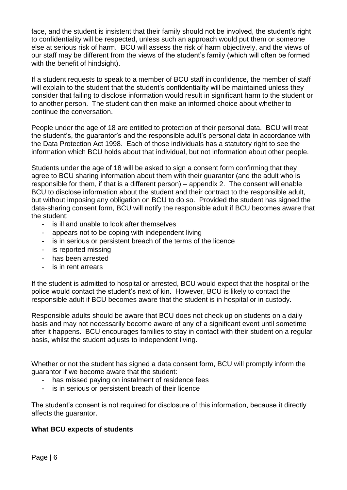face, and the student is insistent that their family should not be involved, the student's right to confidentiality will be respected, unless such an approach would put them or someone else at serious risk of harm. BCU will assess the risk of harm objectively, and the views of our staff may be different from the views of the student's family (which will often be formed with the benefit of hindsight).

If a student requests to speak to a member of BCU staff in confidence, the member of staff will explain to the student that the student's confidentiality will be maintained unless they consider that failing to disclose information would result in significant harm to the student or to another person. The student can then make an informed choice about whether to continue the conversation.

People under the age of 18 are entitled to protection of their personal data. BCU will treat the student's, the guarantor's and the responsible adult's personal data in accordance with the Data Protection Act 1998. Each of those individuals has a statutory right to see the information which BCU holds about that individual, but not information about other people.

Students under the age of 18 will be asked to sign a consent form confirming that they agree to BCU sharing information about them with their guarantor (and the adult who is responsible for them, if that is a different person) – appendix 2. The consent will enable BCU to disclose information about the student and their contract to the responsible adult, but without imposing any obligation on BCU to do so. Provided the student has signed the data-sharing consent form, BCU will notify the responsible adult if BCU becomes aware that the student:

- is ill and unable to look after themselves
- appears not to be coping with independent living
- is in serious or persistent breach of the terms of the licence
- is reported missing
- has been arrested
- is in rent arrears

If the student is admitted to hospital or arrested, BCU would expect that the hospital or the police would contact the student's next of kin. However, BCU is likely to contact the responsible adult if BCU becomes aware that the student is in hospital or in custody.

Responsible adults should be aware that BCU does not check up on students on a daily basis and may not necessarily become aware of any of a significant event until sometime after it happens. BCU encourages families to stay in contact with their student on a regular basis, whilst the student adjusts to independent living.

Whether or not the student has signed a data consent form, BCU will promptly inform the guarantor if we become aware that the student:

- has missed paying on instalment of residence fees
- is in serious or persistent breach of their licence

The student's consent is not required for disclosure of this information, because it directly affects the guarantor.

## **What BCU expects of students**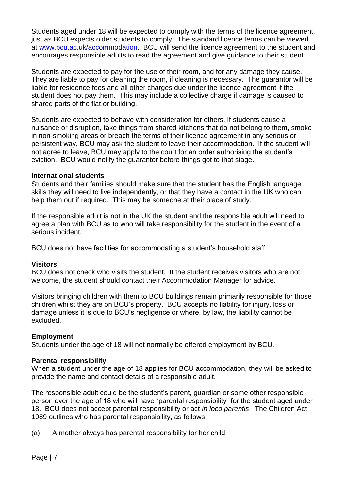Students aged under 18 will be expected to comply with the terms of the licence agreement, just as BCU expects older students to comply. The standard licence terms can be viewed at [www.bcu.ac.uk/accommodation.](http://www.bcu.ac.uk/accommodation) BCU will send the licence agreement to the student and encourages responsible adults to read the agreement and give guidance to their student.

Students are expected to pay for the use of their room, and for any damage they cause. They are liable to pay for cleaning the room, if cleaning is necessary. The guarantor will be liable for residence fees and all other charges due under the licence agreement if the student does not pay them. This may include a collective charge if damage is caused to shared parts of the flat or building.

Students are expected to behave with consideration for others. If students cause a nuisance or disruption, take things from shared kitchens that do not belong to them, smoke in non-smoking areas or breach the terms of their licence agreement in any serious or persistent way, BCU may ask the student to leave their accommodation. If the student will not agree to leave, BCU may apply to the court for an order authorising the student's eviction. BCU would notify the guarantor before things got to that stage.

## **International students**

Students and their families should make sure that the student has the English language skills they will need to live independently, or that they have a contact in the UK who can help them out if required. This may be someone at their place of study.

If the responsible adult is not in the UK the student and the responsible adult will need to agree a plan with BCU as to who will take responsibility for the student in the event of a serious incident.

BCU does not have facilities for accommodating a student's household staff.

## **Visitors**

BCU does not check who visits the student. If the student receives visitors who are not welcome, the student should contact their Accommodation Manager for advice.

Visitors bringing children with them to BCU buildings remain primarily responsible for those children whilst they are on BCU's property. BCU accepts no liability for injury, loss or damage unless it is due to BCU's negligence or where, by law, the liability cannot be excluded.

## **Employment**

Students under the age of 18 will not normally be offered employment by BCU.

#### **Parental responsibility**

When a student under the age of 18 applies for BCU accommodation, they will be asked to provide the name and contact details of a responsible adult.

The responsible adult could be the student's parent, guardian or some other responsible person over the age of 18 who will have "parental responsibility" for the student aged under 18. BCU does not accept parental responsibility or act *in loco parentis*. The Children Act 1989 outlines who has parental responsibility, as follows:

(a) A mother always has parental responsibility for her child.